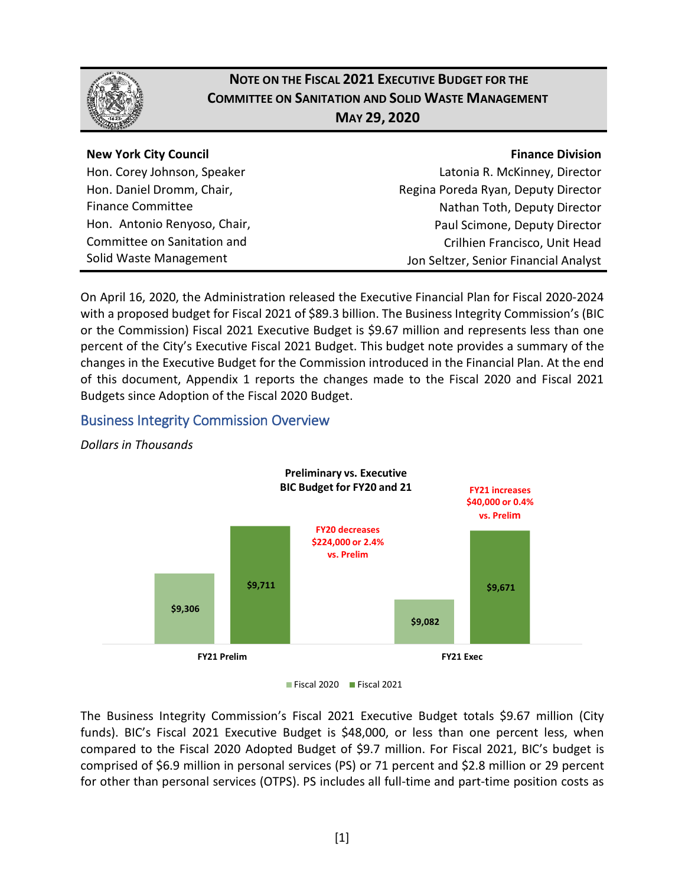

# **NOTE ON THE FISCAL 2021 EXECUTIVE BUDGET FOR THE COMMITTEE ON SANITATION AND SOLID WASTE MANAGEMENT MAY 29, 2020**

### **New York City Council**

Hon. Corey Johnson, Speaker Hon. Daniel Dromm, Chair, Finance Committee Hon. Antonio Renyoso, Chair, Committee on Sanitation and Solid Waste Management

### **Finance Division**

Latonia R. McKinney, Director Regina Poreda Ryan, Deputy Director Nathan Toth, Deputy Director Paul Scimone, Deputy Director Crilhien Francisco, Unit Head Jon Seltzer, Senior Financial Analyst

On April 16, 2020, the Administration released the Executive Financial Plan for Fiscal 2020-2024 with a proposed budget for Fiscal 2021 of \$89.3 billion. The Business Integrity Commission's (BIC or the Commission) Fiscal 2021 Executive Budget is \$9.67 million and represents less than one percent of the City's Executive Fiscal 2021 Budget. This budget note provides a summary of the changes in the Executive Budget for the Commission introduced in the Financial Plan. At the end of this document, Appendix 1 reports the changes made to the Fiscal 2020 and Fiscal 2021 Budgets since Adoption of the Fiscal 2020 Budget.

## Business Integrity Commission Overview



*Dollars in Thousands* 

The Business Integrity Commission's Fiscal 2021 Executive Budget totals \$9.67 million (City funds). BIC's Fiscal 2021 Executive Budget is \$48,000, or less than one percent less, when compared to the Fiscal 2020 Adopted Budget of \$9.7 million. For Fiscal 2021, BIC's budget is comprised of \$6.9 million in personal services (PS) or 71 percent and \$2.8 million or 29 percent for other than personal services (OTPS). PS includes all full-time and part-time position costs as

Fiscal 2020 Fiscal 2021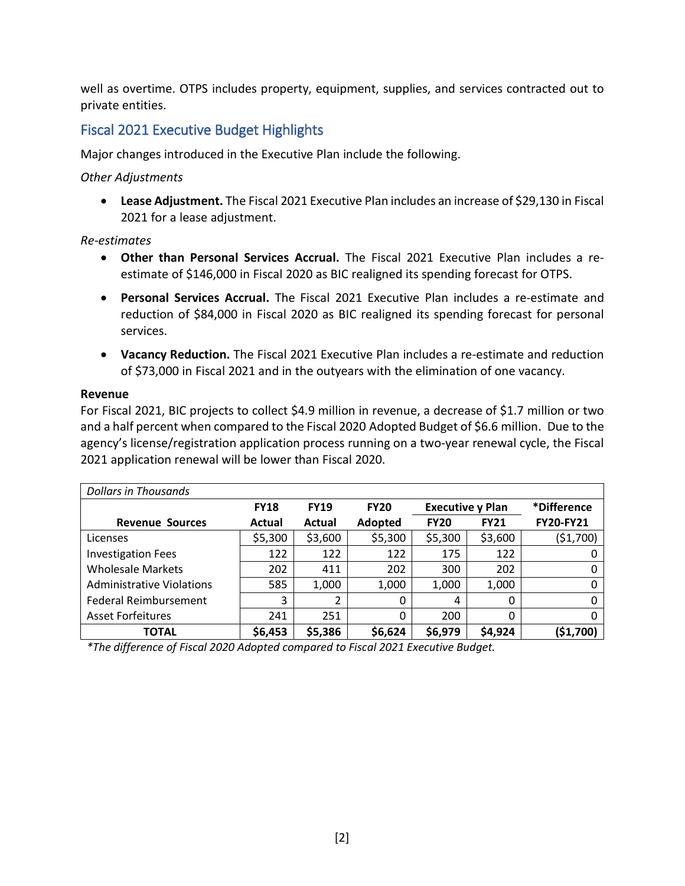well as overtime. OTPS includes property, equipment, supplies, and services contracted out to private entities.

### Fiscal 2021 Executive Budget Highlights

Major changes introduced in the Executive Plan include the following.

### *Other Adjustments*

• **Lease Adjustment.** The Fiscal 2021 Executive Plan includes an increase of \$29,130 in Fiscal 2021 for a lease adjustment.

#### *Re-estimates*

- **Other than Personal Services Accrual.** The Fiscal 2021 Executive Plan includes a reestimate of \$146,000 in Fiscal 2020 as BIC realigned its spending forecast for OTPS.
- **Personal Services Accrual.** The Fiscal 2021 Executive Plan includes a re-estimate and reduction of \$84,000 in Fiscal 2020 as BIC realigned its spending forecast for personal services.
- **Vacancy Reduction.** The Fiscal 2021 Executive Plan includes a re-estimate and reduction of \$73,000 in Fiscal 2021 and in the outyears with the elimination of one vacancy.

#### **Revenue**

For Fiscal 2021, BIC projects to collect \$4.9 million in revenue, a decrease of \$1.7 million or two and a half percent when compared to the Fiscal 2020 Adopted Budget of \$6.6 million. Due to the agency's license/registration application process running on a two-year renewal cycle, the Fiscal 2021 application renewal will be lower than Fiscal 2020.

| Dollars in Thousands         |             |             |             |                         |             |                    |  |
|------------------------------|-------------|-------------|-------------|-------------------------|-------------|--------------------|--|
|                              | <b>FY18</b> | <b>FY19</b> | <b>FY20</b> | <b>Executive y Plan</b> |             | <i>*Difference</i> |  |
| <b>Revenue Sources</b>       | Actual      | Actual      | Adopted     | <b>FY20</b>             | <b>FY21</b> | <b>FY20-FY21</b>   |  |
| Licenses                     | \$5,300     | \$3,600     | \$5,300     | \$5,300                 | \$3,600     | (51,700)           |  |
| <b>Investigation Fees</b>    | 122         | 122         | 122         | 175                     | 122         |                    |  |
| <b>Wholesale Markets</b>     | 202         | 411         | 202         | 300                     | 202         |                    |  |
| Administrative Violations    | 585         | 1,000       | 1,000       | 1,000                   | 1,000       |                    |  |
| <b>Federal Reimbursement</b> | 3           |             | 0           | 4                       | 0           |                    |  |
| <b>Asset Forfeitures</b>     | 241         | 251         | $\Omega$    | 200                     | 0           |                    |  |
| <b>TOTAL</b>                 | \$6,453     | \$5,386     | \$6,624     | \$6,979                 | \$4,924     | (51,700)           |  |

*\*The difference of Fiscal 2020 Adopted compared to Fiscal 2021 Executive Budget.*